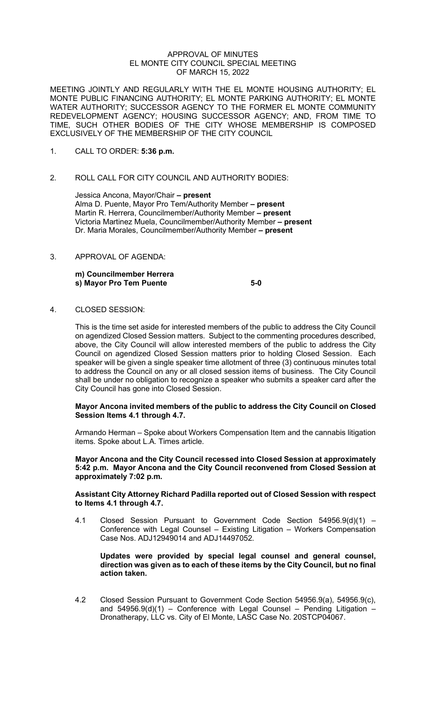#### APPROVAL OF MINUTES EL MONTE CITY COUNCIL SPECIAL MEETING OF MARCH 15, 2022

MEETING JOINTLY AND REGULARLY WITH THE EL MONTE HOUSING AUTHORITY; EL MONTE PUBLIC FINANCING AUTHORITY; EL MONTE PARKING AUTHORITY; EL MONTE WATER AUTHORITY; SUCCESSOR AGENCY TO THE FORMER EL MONTE COMMUNITY REDEVELOPMENT AGENCY; HOUSING SUCCESSOR AGENCY; AND, FROM TIME TO TIME, SUCH OTHER BODIES OF THE CITY WHOSE MEMBERSHIP IS COMPOSED EXCLUSIVELY OF THE MEMBERSHIP OF THE CITY COUNCIL

- 1. CALL TO ORDER: **5:36 p.m.**
- 2. ROLL CALL FOR CITY COUNCIL AND AUTHORITY BODIES:

Jessica Ancona, Mayor/Chair **– present**  Alma D. Puente, Mayor Pro Tem/Authority Member **– present** Martin R. Herrera, Councilmember/Authority Member **– present** Victoria Martinez Muela, Councilmember/Authority Member **– present** Dr. Maria Morales, Councilmember/Authority Member **– present**

3. APPROVAL OF AGENDA:

**m) Councilmember Herrera s) Mayor Pro Tem Puente 5-0**

4. CLOSED SESSION:

This is the time set aside for interested members of the public to address the City Council on agendized Closed Session matters. Subject to the commenting procedures described, above, the City Council will allow interested members of the public to address the City Council on agendized Closed Session matters prior to holding Closed Session. Each speaker will be given a single speaker time allotment of three (3) continuous minutes total to address the Council on any or all closed session items of business. The City Council shall be under no obligation to recognize a speaker who submits a speaker card after the City Council has gone into Closed Session.

## **Mayor Ancona invited members of the public to address the City Council on Closed Session Items 4.1 through 4.7.**

Armando Herman – Spoke about Workers Compensation Item and the cannabis litigation items. Spoke about L.A. Times article.

**Mayor Ancona and the City Council recessed into Closed Session at approximately 5:42 p.m. Mayor Ancona and the City Council reconvened from Closed Session at approximately 7:02 p.m.**

#### **Assistant City Attorney Richard Padilla reported out of Closed Session with respect to Items 4.1 through 4.7.**

4.1 Closed Session Pursuant to Government Code Section 54956.9(d)(1) – Conference with Legal Counsel – Existing Litigation – Workers Compensation Case Nos. ADJ12949014 and ADJ14497052.

#### **Updates were provided by special legal counsel and general counsel, direction was given as to each of these items by the City Council, but no final action taken.**

4.2 Closed Session Pursuant to Government Code Section 54956.9(a), 54956.9(c), and  $54956.9(d)(1)$  – Conference with Legal Counsel – Pending Litigation – Dronatherapy, LLC vs. City of El Monte, LASC Case No. 20STCP04067.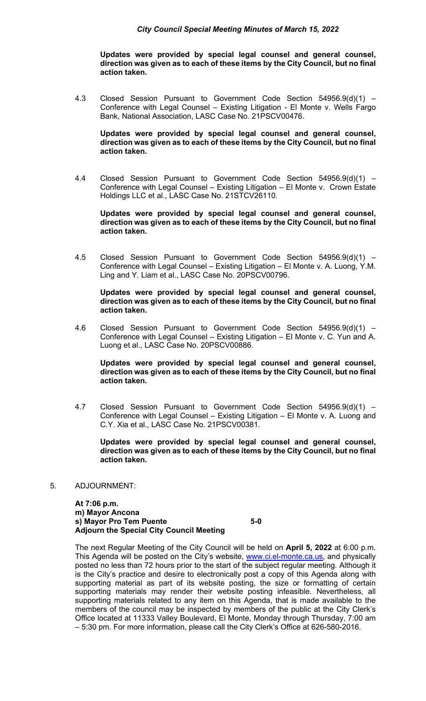### *City Council Special Meeting Minutes of March 15, 2022*

**Updates were provided by special legal counsel and general counsel, direction was given as to each of these items by the City Council, but no final action taken.** 

4.3 Closed Session Pursuant to Government Code Section 54956.9(d)(1) – Conference with Legal Counsel – Existing Litigation - El Monte v. Wells Fargo Bank, National Association, LASC Case No. 21PSCV00476.

**Updates were provided by special legal counsel and general counsel, direction was given as to each of these items by the City Council, but no final action taken.** 

4.4 Closed Session Pursuant to Government Code Section 54956.9(d)(1) – Conference with Legal Counsel – Existing Litigation – El Monte v. Crown Estate Holdings LLC et al., LASC Case No. 21STCV26110.

**Updates were provided by special legal counsel and general counsel, direction was given as to each of these items by the City Council, but no final action taken.** 

4.5 Closed Session Pursuant to Government Code Section 54956.9(d)(1) – Conference with Legal Counsel – Existing Litigation – El Monte v. A. Luong, Y.M. Ling and Y. Liam et al., LASC Case No. 20PSCV00796.

**Updates were provided by special legal counsel and general counsel, direction was given as to each of these items by the City Council, but no final action taken.** 

4.6 Closed Session Pursuant to Government Code Section 54956.9(d)(1) – Conference with Legal Counsel – Existing Litigation – El Monte v. C. Yun and A. Luong et al., LASC Case No. 20PSCV00886.

**Updates were provided by special legal counsel and general counsel, direction was given as to each of these items by the City Council, but no final action taken.** 

4.7 Closed Session Pursuant to Government Code Section 54956.9(d)(1) – Conference with Legal Counsel – Existing Litigation – El Monte v. A. Luong and C.Y. Xia et al., LASC Case No. 21PSCV00381.

**Updates were provided by special legal counsel and general counsel, direction was given as to each of these items by the City Council, but no final action taken.** 

5. ADJOURNMENT:

**At 7:06 p.m. m) Mayor Ancona s) Mayor Pro Tem Puente 5-0 Adjourn the Special City Council Meeting**

The next Regular Meeting of the City Council will be held on **April 5, 2022** at 6:00 p.m. This Agenda will be posted on the City's website, [www.ci.el-monte.ca.us,](http://www.ci.el-monte.ca.us/) and physically posted no less than 72 hours prior to the start of the subject regular meeting. Although it is the City's practice and desire to electronically post a copy of this Agenda along with supporting material as part of its website posting, the size or formatting of certain supporting materials may render their website posting infeasible. Nevertheless, all supporting materials related to any item on this Agenda, that is made available to the members of the council may be inspected by members of the public at the City Clerk's Office located at 11333 Valley Boulevard, El Monte, Monday through Thursday, 7:00 am – 5:30 pm. For more information, please call the City Clerk's Office at 626-580-2016.